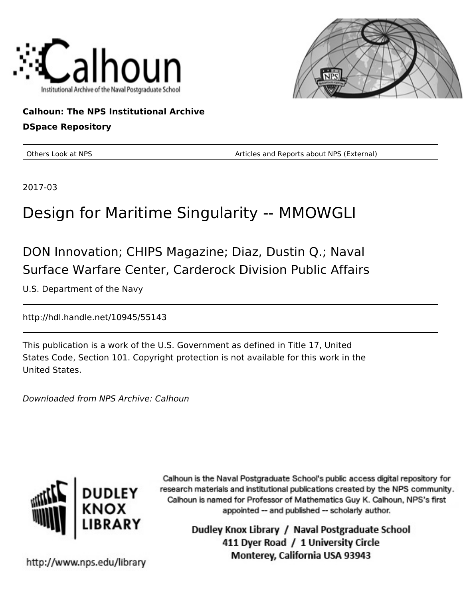



**Calhoun: The NPS Institutional Archive DSpace Repository**

Others Look at NPS **Container a Container Articles and Reports about NPS (External)** 

2017-03

# Design for Maritime Singularity -- MMOWGLI

DON Innovation; CHIPS Magazine; Diaz, Dustin Q.; Naval Surface Warfare Center, Carderock Division Public Affairs

U.S. Department of the Navy

http://hdl.handle.net/10945/55143

This publication is a work of the U.S. Government as defined in Title 17, United States Code, Section 101. Copyright protection is not available for this work in the United States.

Downloaded from NPS Archive: Calhoun



Calhoun is the Naval Postgraduate School's public access digital repository for research materials and institutional publications created by the NPS community. Calhoun is named for Professor of Mathematics Guy K. Calhoun, NPS's first appointed -- and published -- scholarly author.

> Dudley Knox Library / Naval Postgraduate School 411 Dyer Road / 1 University Circle Monterey, California USA 93943

http://www.nps.edu/library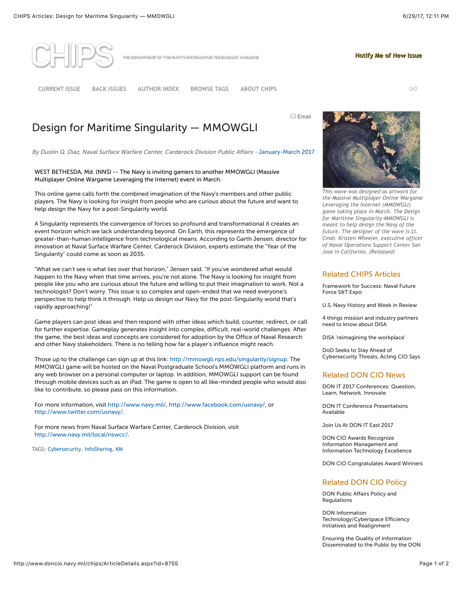**[Notify Me of New Issue](mailto:Chips@navy.mil?subject=Notify%20Me%20of%20New%20CHIPS%20Issue&body=CHIPS,%20the%20Department%20of%20the%20Navy) Notify Me of New Issue**



ne departaent of the may's information technology magazine

**[CURRENT ISSUE](http://www.doncio.navy.mil/chips/Issue.aspx) [BACK ISSUES](http://www.doncio.navy.mil/chips/BackIssues.aspx) [AUTHOR INDEX](http://www.doncio.navy.mil/chips/AuthorIndex.aspx) [BROWSE TAGS](http://www.doncio.navy.mil/chips/ArticleDetails.aspx?id=8755#) [ABOUT CHIPS](http://www.doncio.navy.mil/chips/About.aspx)** GO

**Email** 

## Design for Maritime Singularity — MMOWGLI

By Dustin Q. Diaz, Naval Surface Warfare Center, Carderock Division Public Affairs - [January-March 2017](http://www.doncio.navy.mil/CHIPS/Issue.aspx?ID=69)

#### WEST BETHESDA, Md. (NNS) -- The Navy is inviting gamers to another MMOWGLI (Massive Multiplayer Online Wargame Leveraging the Internet) event in March.

This online game calls forth the combined imagination of the Navy's members and other public players. The Navy is looking for insight from people who are curious about the future and want to help design the Navy for a post-Singularity world.

A Singularity represents the convergence of forces so profound and transformational it creates an event horizon which we lack understanding beyond. On Earth, this represents the emergence of greater-than-human intelligence from technological means. According to Garth Jensen, director for innovation at Naval Surface Warfare Center, Carderock Division, experts estimate the "Year of the Singularity" could come as soon as 2035.

"What we can't see is what lies over that horizon," Jensen said. "If you've wondered what would happen to the Navy when that time arrives, you're not alone. The Navy is looking for insight from people like you who are curious about the future and willing to put their imagination to work. Not a technologist? Don't worry. This issue is so complex and open-ended that we need everyone's perspective to help think it through. Help us design our Navy for the post-Singularity world that's rapidly approaching!"

Game players can post ideas and then respond with other ideas which build, counter, redirect, or call for further expertise. Gameplay generates insight into complex, difficult, real-world challenges. After the game, the best ideas and concepts are considered for adoption by the Office of Naval Research and other Navy stakeholders. There is no telling how far a player's influence might reach.

Those up to the challenge can sign up at this link: [http://mmowgli.nps.edu/singularity/signup.](http://mmowgli.nps.edu/singularity/signup) The MMOWGLI game will be hosted on the Naval Postgraduate School's MMOWGLI platform and runs in any web browser on a personal computer or laptop. In addition, MMOWGLI support can be found through mobile devices such as an iPad. The game is open to all like-minded people who would also like to contribute, so please pass on this information.

For more information, visit [http://www.navy.mil/,](http://www.navy.mil/) <http://www.facebook.com/usnavy/>, or <http://www.twitter.com/usnavy/>.

For more news from Naval Surface Warfare Center, Carderock Division, visit [http://www.navy.mil/local/nswcc/.](http://www.navy.mil/local/nswcc/)

TAGS: [Cybersecurity](http://www.doncio.navy.mil/chips/TagResults.aspx?ID=28), [InfoSharing](http://www.doncio.navy.mil/chips/TagResults.aspx?ID=78), [KM](http://www.doncio.navy.mil/chips/TagResults.aspx?ID=33)



*[This wave was designed as artwork for](http://www.doncio.navy.mil/uploads/0301JWR46441.jpg) the Massive Multiplayer Online Wargame Leveraging the Internet (MMOWGLI) game taking place in March. The Design for Maritime Singularity-MMOWGLI is meant to help design the Navy of the future. The designer of the wave is Lt. Cmdr. Kristen Wheeler, executive officer of Naval Operations Support Center San Jose in California. (Released)*

#### Related CHIPS Articles

[Framework for Success: Naval Future](http://www.doncio.navy.mil/chips/ArticleDetails.aspx?ID=9148) Force S&T Expo

[U.S. Navy History and Week in Review](http://www.doncio.navy.mil/chips/ArticleDetails.aspx?ID=9145)

[4 things mission and industry partners](http://www.doncio.navy.mil/chips/ArticleDetails.aspx?ID=9112) need to know about DISA

[DISA 'reimagining the workplace'](http://www.doncio.navy.mil/chips/ArticleDetails.aspx?ID=9111)

DoD Seeks to Stay Ahead of [Cybersecurity Threats, Acting CIO Says](http://www.doncio.navy.mil/chips/ArticleDetails.aspx?ID=9108)

#### Related DON CIO News

[DON IT 2017 Conferences: Question,](http://www.doncio.navy.mil/ContentView.aspx?ID=9051) Learn, Network, Innovate

[DON IT Conference Presentations](http://www.doncio.navy.mil/ContentView.aspx?ID=9039) Available

[Join Us At DON IT East 2017](http://www.doncio.navy.mil/ContentView.aspx?ID=8344)

DON CIO Awards Recognize Information Management and [Information Technology Excellence](http://www.doncio.navy.mil/ContentView.aspx?ID=7772)

[DON CIO Congratulates Award Winners](http://www.doncio.navy.mil/ContentView.aspx?ID=6058)

### Related DON CIO Policy

[DON Public Affairs Policy and](http://www.doncio.navy.mil/ContentView.aspx?ID=4006) Regulations

DON Information [Technology/Cyberspace Efficiency](http://www.doncio.navy.mil/ContentView.aspx?ID=2061) Initiatives and Realignment

Ensuring the Quality of Information [Disseminated to the Public by the DON](http://www.doncio.navy.mil/ContentView.aspx?ID=1186)